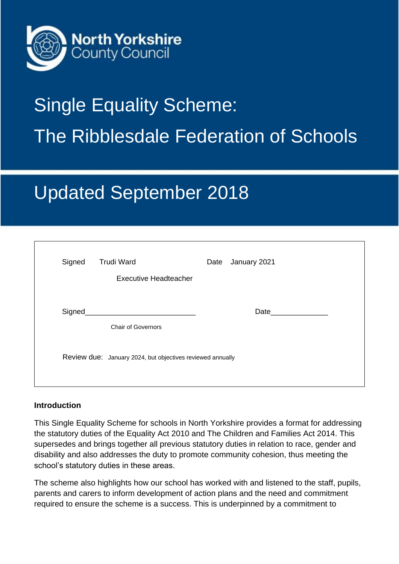

# Single Equality Scheme: The Ribblesdale Federation of Schools

# Updated September 2018

| <b>Chair of Governors</b> | Date and the state of the state of the state of the state of the state of the state of the state of the state o |                                                            |
|---------------------------|-----------------------------------------------------------------------------------------------------------------|------------------------------------------------------------|
|                           |                                                                                                                 |                                                            |
|                           |                                                                                                                 | Review due: January 2024, but objectives reviewed annually |

#### **Introduction**

This Single Equality Scheme for schools in North Yorkshire provides a format for addressing the statutory duties of the Equality Act 2010 and The Children and Families Act 2014. This supersedes and brings together all previous statutory duties in relation to race, gender and disability and also addresses the duty to promote community cohesion, thus meeting the school's statutory duties in these areas.

The scheme also highlights how our school has worked with and listened to the staff, pupils, parents and carers to inform development of action plans and the need and commitment required to ensure the scheme is a success. This is underpinned by a commitment to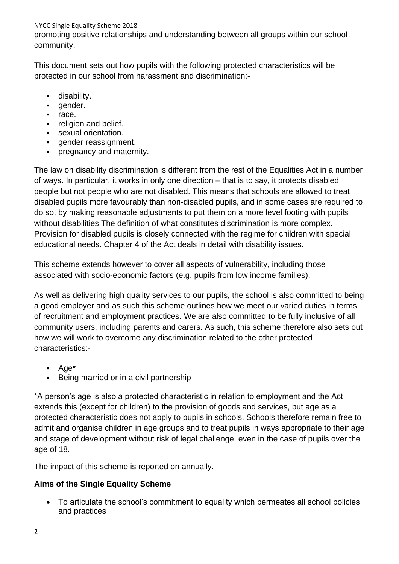promoting positive relationships and understanding between all groups within our school community.

This document sets out how pupils with the following protected characteristics will be protected in our school from harassment and discrimination:-

- disability.
- gender.
- race.
- religion and belief.
- **•** sexual orientation.
- **•** gender reassignment.
- pregnancy and maternity.

The law on disability discrimination is different from the rest of the Equalities Act in a number of ways. In particular, it works in only one direction – that is to say, it protects disabled people but not people who are not disabled. This means that schools are allowed to treat disabled pupils more favourably than non-disabled pupils, and in some cases are required to do so, by making reasonable adjustments to put them on a more level footing with pupils without disabilities The definition of what constitutes discrimination is more complex. Provision for disabled pupils is closely connected with the regime for children with special educational needs. Chapter 4 of the Act deals in detail with disability issues.

This scheme extends however to cover all aspects of vulnerability, including those associated with socio-economic factors (e.g. pupils from low income families).

As well as delivering high quality services to our pupils, the school is also committed to being a good employer and as such this scheme outlines how we meet our varied duties in terms of recruitment and employment practices. We are also committed to be fully inclusive of all community users, including parents and carers. As such, this scheme therefore also sets out how we will work to overcome any discrimination related to the other protected characteristics:-

- Age<sup>\*</sup>
- Being married or in a civil partnership

\*A person's age is also a protected characteristic in relation to employment and the Act extends this (except for children) to the provision of goods and services, but age as a protected characteristic does not apply to pupils in schools. Schools therefore remain free to admit and organise children in age groups and to treat pupils in ways appropriate to their age and stage of development without risk of legal challenge, even in the case of pupils over the age of 18.

The impact of this scheme is reported on annually.

#### **Aims of the Single Equality Scheme**

• To articulate the school's commitment to equality which permeates all school policies and practices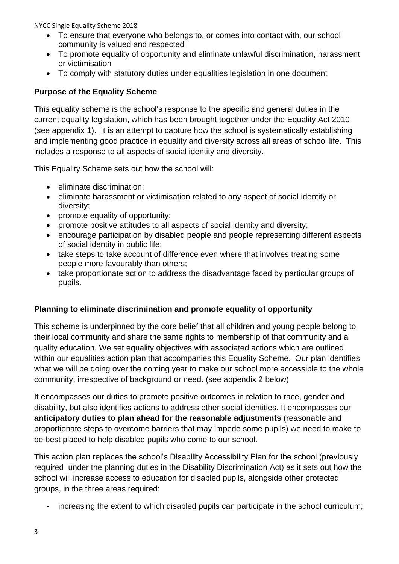- To ensure that everyone who belongs to, or comes into contact with, our school community is valued and respected
- To promote equality of opportunity and eliminate unlawful discrimination, harassment or victimisation
- To comply with statutory duties under equalities legislation in one document

#### **Purpose of the Equality Scheme**

This equality scheme is the school's response to the specific and general duties in the current equality legislation, which has been brought together under the Equality Act 2010 (see appendix 1). It is an attempt to capture how the school is systematically establishing and implementing good practice in equality and diversity across all areas of school life. This includes a response to all aspects of social identity and diversity.

This Equality Scheme sets out how the school will:

- eliminate discrimination;
- eliminate harassment or victimisation related to any aspect of social identity or diversity;
- promote equality of opportunity;
- promote positive attitudes to all aspects of social identity and diversity;
- encourage participation by disabled people and people representing different aspects of social identity in public life;
- take steps to take account of difference even where that involves treating some people more favourably than others;
- take proportionate action to address the disadvantage faced by particular groups of pupils.

#### **Planning to eliminate discrimination and promote equality of opportunity**

This scheme is underpinned by the core belief that all children and young people belong to their local community and share the same rights to membership of that community and a quality education. We set equality objectives with associated actions which are outlined within our equalities action plan that accompanies this Equality Scheme. Our plan identifies what we will be doing over the coming year to make our school more accessible to the whole community, irrespective of background or need. (see appendix 2 below)

It encompasses our duties to promote positive outcomes in relation to race, gender and disability, but also identifies actions to address other social identities. It encompasses our **anticipatory duties to plan ahead for the reasonable adjustments** (reasonable and proportionate steps to overcome barriers that may impede some pupils) we need to make to be best placed to help disabled pupils who come to our school.

This action plan replaces the school's Disability Accessibility Plan for the school (previously required under the planning duties in the Disability Discrimination Act) as it sets out how the school will increase access to education for disabled pupils, alongside other protected groups, in the three areas required:

increasing the extent to which disabled pupils can participate in the school curriculum;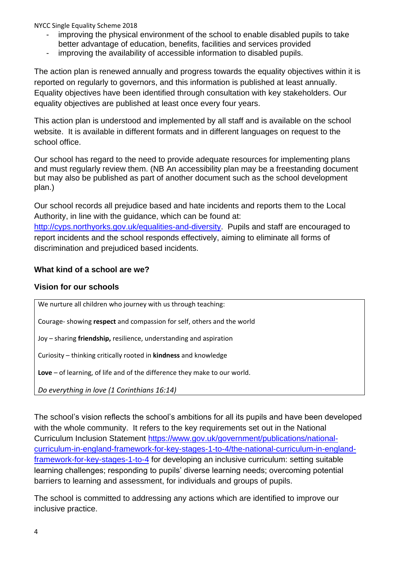- improving the physical environment of the school to enable disabled pupils to take better advantage of education, benefits, facilities and services provided
- improving the availability of accessible information to disabled pupils.

The action plan is renewed annually and progress towards the equality objectives within it is reported on regularly to governors, and this information is published at least annually. Equality objectives have been identified through consultation with key stakeholders. Our equality objectives are published at least once every four years.

This action plan is understood and implemented by all staff and is available on the school website. It is available in different formats and in different languages on request to the school office.

Our school has regard to the need to provide adequate resources for implementing plans and must regularly review them. (NB An accessibility plan may be a freestanding document but may also be published as part of another document such as the school development plan.)

Our school records all prejudice based and hate incidents and reports them to the Local Authority, in line with the guidance, which can be found at: [http://cyps.northyorks.gov.uk/equalities-and-diversity.](http://cyps.northyorks.gov.uk/equalities-and-diversity) Pupils and staff are encouraged to report incidents and the school responds effectively, aiming to eliminate all forms of discrimination and prejudiced based incidents.

#### **What kind of a school are we?**

#### **Vision for our schools**

We nurture all children who journey with us through teaching:

Courage- showing **respect** and compassion for self, others and the world

Joy – sharing **friendship,** resilience, understanding and aspiration

Curiosity – thinking critically rooted in **kindness** and knowledge

**Love** – of learning, of life and of the difference they make to our world.

*Do everything in love (1 Corinthians 16:14)*

The school's vision reflects the school's ambitions for all its pupils and have been developed with the whole community. It refers to the key requirements set out in the National Curriculum Inclusion Statement [https://www.gov.uk/government/publications/national](https://www.gov.uk/government/publications/national-curriculum-in-england-framework-for-key-stages-1-to-4/the-national-curriculum-in-england-framework-for-key-stages-1-to-4)[curriculum-in-england-framework-for-key-stages-1-to-4/the-national-curriculum-in-england](https://www.gov.uk/government/publications/national-curriculum-in-england-framework-for-key-stages-1-to-4/the-national-curriculum-in-england-framework-for-key-stages-1-to-4)[framework-for-key-stages-1-to-4](https://www.gov.uk/government/publications/national-curriculum-in-england-framework-for-key-stages-1-to-4/the-national-curriculum-in-england-framework-for-key-stages-1-to-4) for developing an inclusive curriculum: setting suitable learning challenges; responding to pupils' diverse learning needs; overcoming potential barriers to learning and assessment, for individuals and groups of pupils.

The school is committed to addressing any actions which are identified to improve our inclusive practice.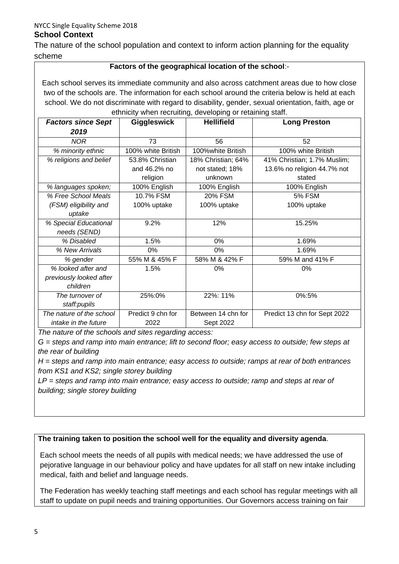The nature of the school population and context to inform action planning for the equality scheme

#### **Factors of the geographical location of the school**:-

Each school serves its immediate community and also across catchment areas due to how close two of the schools are. The information for each school around the criteria below is held at each school. We do not discriminate with regard to disability, gender, sexual orientation, faith, age or ethnicity when recruiting, developing or retaining staff.

| <b>Factors since Sept</b> | <b>Giggleswick</b> | <b>Hellifield</b>  | <b>Long Preston</b>          |
|---------------------------|--------------------|--------------------|------------------------------|
| 2019                      |                    |                    |                              |
| <b>NOR</b>                | 73                 | 56                 | 52                           |
| % minority ethnic         | 100% white British | 100%white British  | 100% white British           |
| % religions and belief    | 53.8% Christian    | 18% Christian; 64% | 41% Christian; 1.7% Muslim;  |
|                           | and 46.2% no       | not stated; 18%    | 13.6% no religion 44.7% not  |
|                           | religion           | unknown            | stated                       |
| % languages spoken;       | 100% English       | 100% English       | 100% English                 |
| % Free School Meals       | 10.7% FSM          | <b>20% FSM</b>     | <b>5% FSM</b>                |
| (FSM) eligibility and     | 100% uptake        | 100% uptake        | 100% uptake                  |
| uptake                    |                    |                    |                              |
| % Special Educational     | 9.2%               | 12%                | 15.25%                       |
| needs (SEND)              |                    |                    |                              |
| % Disabled                | 1.5%               | 0%                 | 1.69%                        |
| % New Arrivals            | 0%                 | $0\%$              | 1.69%                        |
| % gender                  | 55% M & 45% F      | 58% M & 42% F      | 59% M and 41% F              |
| % looked after and        | 1.5%               | 0%                 | 0%                           |
| previously looked after   |                    |                    |                              |
| children                  |                    |                    |                              |
| The turnover of           | 25%:0%             | 22%: 11%           | 0%:5%                        |
| staff:pupils              |                    |                    |                              |
| The nature of the school  | Predict 9 chn for  | Between 14 chn for | Predict 13 chn for Sept 2022 |
| intake in the future      | 2022               | Sept 2022          |                              |

*The nature of the schools and sites regarding access:*

*G = steps and ramp into main entrance; lift to second floor; easy access to outside; few steps at the rear of building*

*H = steps and ramp into main entrance; easy access to outside; ramps at rear of both entrances from KS1 and KS2; single storey building*

*LP = steps and ramp into main entrance; easy access to outside; ramp and steps at rear of building; single storey building*

#### **The training taken to position the school well for the equality and diversity agenda**.

Each school meets the needs of all pupils with medical needs; we have addressed the use of pejorative language in our behaviour policy and have updates for all staff on new intake including medical, faith and belief and language needs.

The Federation has weekly teaching staff meetings and each school has regular meetings with all staff to update on pupil needs and training opportunities. Our Governors access training on fair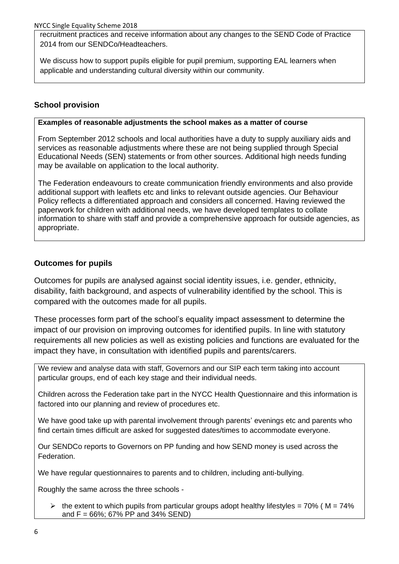recruitment practices and receive information about any changes to the SEND Code of Practice 2014 from our SENDCo/Headteachers.

We discuss how to support pupils eligible for pupil premium, supporting EAL learners when applicable and understanding cultural diversity within our community.

#### **School provision**

#### **Examples of reasonable adjustments the school makes as a matter of course**

From September 2012 schools and local authorities have a duty to supply auxiliary aids and services as reasonable adjustments where these are not being supplied through Special Educational Needs (SEN) statements or from other sources. Additional high needs funding may be available on application to the local authority.

The Federation endeavours to create communication friendly environments and also provide additional support with leaflets etc and links to relevant outside agencies. Our Behaviour Policy reflects a differentiated approach and considers all concerned. Having reviewed the paperwork for children with additional needs, we have developed templates to collate information to share with staff and provide a comprehensive approach for outside agencies, as appropriate.

#### **Outcomes for pupils**

Outcomes for pupils are analysed against social identity issues, i.e. gender, ethnicity, disability, faith background, and aspects of vulnerability identified by the school. This is compared with the outcomes made for all pupils.

These processes form part of the school's equality impact assessment to determine the impact of our provision on improving outcomes for identified pupils. In line with statutory requirements all new policies as well as existing policies and functions are evaluated for the impact they have, in consultation with identified pupils and parents/carers.

We review and analyse data with staff, Governors and our SIP each term taking into account particular groups, end of each key stage and their individual needs.

Children across the Federation take part in the NYCC Health Questionnaire and this information is factored into our planning and review of procedures etc.

We have good take up with parental involvement through parents' evenings etc and parents who find certain times difficult are asked for suggested dates/times to accommodate everyone.

Our SENDCo reports to Governors on PP funding and how SEND money is used across the Federation.

We have regular questionnaires to parents and to children, including anti-bullying.

Roughly the same across the three schools -

 $\geq$  the extent to which pupils from particular groups adopt healthy lifestyles = 70% (M = 74%) and  $F = 66\%$ ; 67% PP and 34% SEND)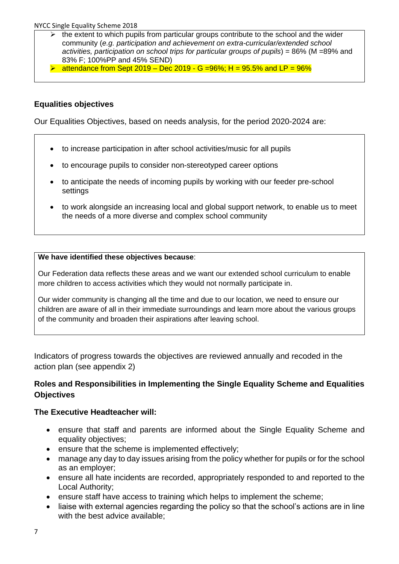- $\triangleright$  the extent to which pupils from particular groups contribute to the school and the wider community (*e.g. participation and achievement on extra-curricular/extended school activities, participation on school trips for particular groups of pupils*) = 86% (M =89% and 83% F; 100%PP and 45% SEND)
- attendance from Sept 2019 Dec 2019 G = 96%; H = 95.5% and LP =  $96\%$

#### **Equalities objectives**

Our Equalities Objectives, based on needs analysis, for the period 2020-2024 are:

- to increase participation in after school activities/music for all pupils
- to encourage pupils to consider non-stereotyped career options
- to anticipate the needs of incoming pupils by working with our feeder pre-school settings
- to work alongside an increasing local and global support network, to enable us to meet the needs of a more diverse and complex school community

#### **We have identified these objectives because**:

Our Federation data reflects these areas and we want our extended school curriculum to enable more children to access activities which they would not normally participate in.

Our wider community is changing all the time and due to our location, we need to ensure our children are aware of all in their immediate surroundings and learn more about the various groups of the community and broaden their aspirations after leaving school.

Indicators of progress towards the objectives are reviewed annually and recoded in the action plan (see appendix 2)

#### **Roles and Responsibilities in Implementing the Single Equality Scheme and Equalities Objectives**

#### **The Executive Headteacher will:**

- ensure that staff and parents are informed about the Single Equality Scheme and equality objectives;
- ensure that the scheme is implemented effectively;
- manage any day to day issues arising from the policy whether for pupils or for the school as an employer;
- ensure all hate incidents are recorded, appropriately responded to and reported to the Local Authority;
- ensure staff have access to training which helps to implement the scheme;
- liaise with external agencies regarding the policy so that the school's actions are in line with the best advice available;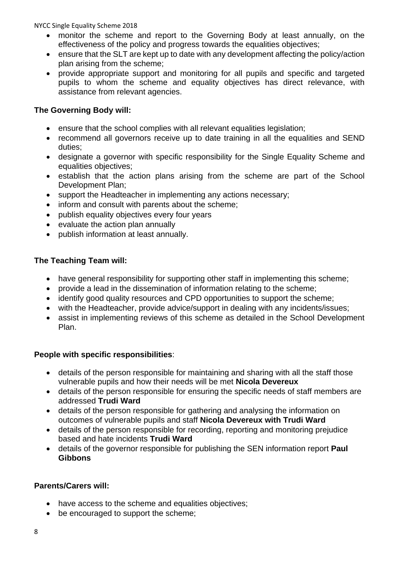- monitor the scheme and report to the Governing Body at least annually, on the effectiveness of the policy and progress towards the equalities objectives;
- ensure that the SLT are kept up to date with any development affecting the policy/action plan arising from the scheme;
- provide appropriate support and monitoring for all pupils and specific and targeted pupils to whom the scheme and equality objectives has direct relevance, with assistance from relevant agencies.

#### **The Governing Body will:**

- ensure that the school complies with all relevant equalities legislation;
- recommend all governors receive up to date training in all the equalities and SEND duties;
- designate a governor with specific responsibility for the Single Equality Scheme and equalities objectives;
- establish that the action plans arising from the scheme are part of the School Development Plan;
- support the Headteacher in implementing any actions necessary;
- inform and consult with parents about the scheme;
- publish equality objectives every four years
- evaluate the action plan annually
- publish information at least annually.

#### **The Teaching Team will:**

- have general responsibility for supporting other staff in implementing this scheme;
- provide a lead in the dissemination of information relating to the scheme;
- identify good quality resources and CPD opportunities to support the scheme;
- with the Headteacher, provide advice/support in dealing with any incidents/issues;
- assist in implementing reviews of this scheme as detailed in the School Development Plan.

#### **People with specific responsibilities**:

- details of the person responsible for maintaining and sharing with all the staff those vulnerable pupils and how their needs will be met **Nicola Devereux**
- details of the person responsible for ensuring the specific needs of staff members are addressed **Trudi Ward**
- details of the person responsible for gathering and analysing the information on outcomes of vulnerable pupils and staff **Nicola Devereux with Trudi Ward**
- details of the person responsible for recording, reporting and monitoring prejudice based and hate incidents **Trudi Ward**
- details of the governor responsible for publishing the SEN information report **Paul Gibbons**

#### **Parents/Carers will:**

- have access to the scheme and equalities objectives;
- be encouraged to support the scheme;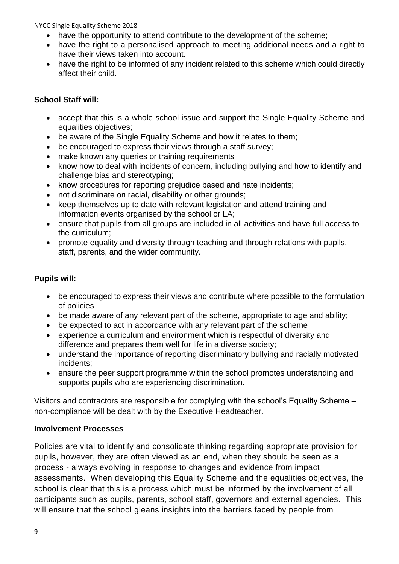- have the opportunity to attend contribute to the development of the scheme;
- have the right to a personalised approach to meeting additional needs and a right to have their views taken into account.
- have the right to be informed of any incident related to this scheme which could directly affect their child.

#### **School Staff will:**

- accept that this is a whole school issue and support the Single Equality Scheme and equalities objectives;
- be aware of the Single Equality Scheme and how it relates to them;
- be encouraged to express their views through a staff survey:
- make known any queries or training requirements
- know how to deal with incidents of concern, including bullying and how to identify and challenge bias and stereotyping;
- know procedures for reporting prejudice based and hate incidents;
- not discriminate on racial, disability or other grounds;
- keep themselves up to date with relevant legislation and attend training and information events organised by the school or LA;
- ensure that pupils from all groups are included in all activities and have full access to the curriculum;
- promote equality and diversity through teaching and through relations with pupils, staff, parents, and the wider community.

#### **Pupils will:**

- be encouraged to express their views and contribute where possible to the formulation of policies
- be made aware of any relevant part of the scheme, appropriate to age and ability;
- be expected to act in accordance with any relevant part of the scheme
- experience a curriculum and environment which is respectful of diversity and difference and prepares them well for life in a diverse society;
- understand the importance of reporting discriminatory bullying and racially motivated incidents;
- ensure the peer support programme within the school promotes understanding and supports pupils who are experiencing discrimination.

Visitors and contractors are responsible for complying with the school's Equality Scheme – non-compliance will be dealt with by the Executive Headteacher.

#### **Involvement Processes**

Policies are vital to identify and consolidate thinking regarding appropriate provision for pupils, however, they are often viewed as an end, when they should be seen as a process - always evolving in response to changes and evidence from impact assessments. When developing this Equality Scheme and the equalities objectives, the school is clear that this is a process which must be informed by the involvement of all participants such as pupils, parents, school staff, governors and external agencies. This will ensure that the school gleans insights into the barriers faced by people from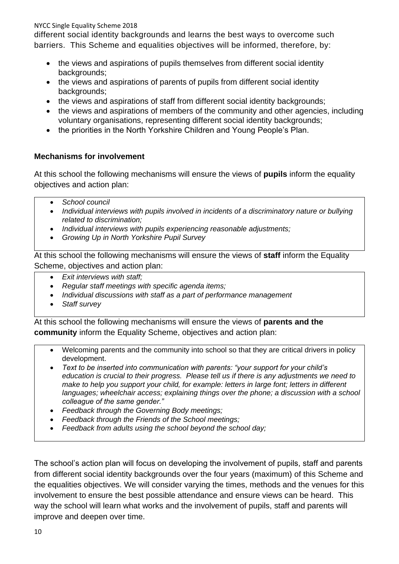different social identity backgrounds and learns the best ways to overcome such barriers. This Scheme and equalities objectives will be informed, therefore, by:

- the views and aspirations of pupils themselves from different social identity backgrounds;
- the views and aspirations of parents of pupils from different social identity backgrounds;
- the views and aspirations of staff from different social identity backgrounds;
- the views and aspirations of members of the community and other agencies, including voluntary organisations, representing different social identity backgrounds;
- the priorities in the North Yorkshire Children and Young People's Plan.

#### **Mechanisms for involvement**

At this school the following mechanisms will ensure the views of **pupils** inform the equality objectives and action plan:

- *School council*
- *Individual interviews with pupils involved in incidents of a discriminatory nature or bullying related to discrimination;*
- *Individual interviews with pupils experiencing reasonable adjustments;*
- *Growing Up in North Yorkshire Pupil Survey*

At this school the following mechanisms will ensure the views of **staff** inform the Equality Scheme, objectives and action plan:

- *Exit interviews with staff;*
- *Regular staff meetings with specific agenda items;*
- *Individual discussions with staff as a part of performance management*
- *Staff survey*

At this school the following mechanisms will ensure the views of **parents and the community** inform the Equality Scheme, objectives and action plan:

- Welcoming parents and the community into school so that they are critical drivers in policy development.
- *Text to be inserted into communication with parents: "your support for your child's education is crucial to their progress. Please tell us if there is any adjustments we need to make to help you support your child, for example: letters in large font; letters in different languages; wheelchair access; explaining things over the phone; a discussion with a school colleague of the same gender."*
- *Feedback through the Governing Body meetings;*
- *Feedback through the Friends of the School meetings;*
- *Feedback from adults using the school beyond the school day;*

The school's action plan will focus on developing the involvement of pupils, staff and parents from different social identity backgrounds over the four years (maximum) of this Scheme and the equalities objectives. We will consider varying the times, methods and the venues for this involvement to ensure the best possible attendance and ensure views can be heard. This way the school will learn what works and the involvement of pupils, staff and parents will improve and deepen over time.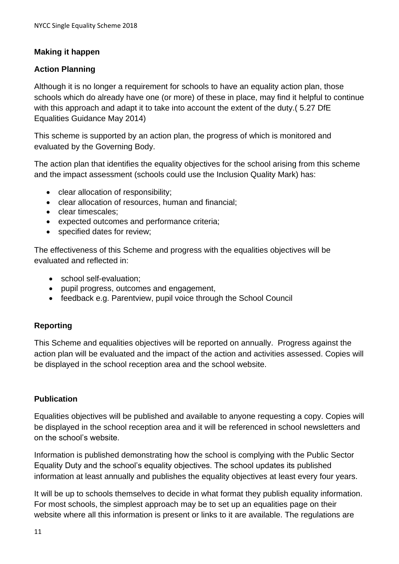#### **Making it happen**

#### **Action Planning**

Although it is no longer a requirement for schools to have an equality action plan, those schools which do already have one (or more) of these in place, may find it helpful to continue with this approach and adapt it to take into account the extent of the duty.( 5.27 DfE Equalities Guidance May 2014)

This scheme is supported by an action plan, the progress of which is monitored and evaluated by the Governing Body.

The action plan that identifies the equality objectives for the school arising from this scheme and the impact assessment (schools could use the Inclusion Quality Mark) has:

- clear allocation of responsibility;
- clear allocation of resources, human and financial;
- **clear timescales**:
- expected outcomes and performance criteria;
- specified dates for review;

The effectiveness of this Scheme and progress with the equalities objectives will be evaluated and reflected in:

- school self-evaluation;
- pupil progress, outcomes and engagement,
- feedback e.g. Parentview, pupil voice through the School Council

#### **Reporting**

This Scheme and equalities objectives will be reported on annually. Progress against the action plan will be evaluated and the impact of the action and activities assessed. Copies will be displayed in the school reception area and the school website.

#### **Publication**

Equalities objectives will be published and available to anyone requesting a copy. Copies will be displayed in the school reception area and it will be referenced in school newsletters and on the school's website.

Information is published demonstrating how the school is complying with the Public Sector Equality Duty and the school's equality objectives. The school updates its published information at least annually and publishes the equality objectives at least every four years.

It will be up to schools themselves to decide in what format they publish equality information. For most schools, the simplest approach may be to set up an equalities page on their website where all this information is present or links to it are available. The regulations are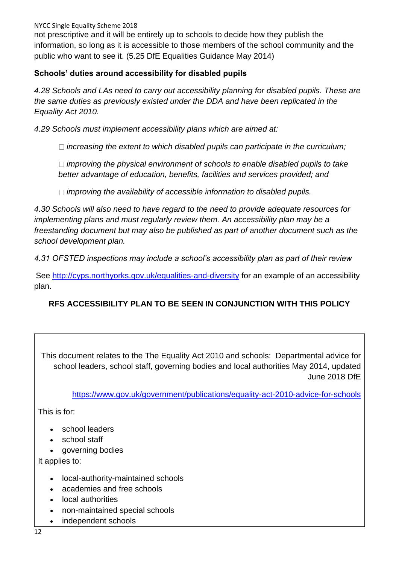not prescriptive and it will be entirely up to schools to decide how they publish the information, so long as it is accessible to those members of the school community and the public who want to see it. (5.25 DfE Equalities Guidance May 2014)

#### **Schools' duties around accessibility for disabled pupils**

*4.28 Schools and LAs need to carry out accessibility planning for disabled pupils. These are the same duties as previously existed under the DDA and have been replicated in the Equality Act 2010.* 

*4.29 Schools must implement accessibility plans which are aimed at:* 

*increasing the extent to which disabled pupils can participate in the curriculum;* 

*improving the physical environment of schools to enable disabled pupils to take better advantage of education, benefits, facilities and services provided; and* 

*improving the availability of accessible information to disabled pupils.* 

*4.30 Schools will also need to have regard to the need to provide adequate resources for implementing plans and must regularly review them. An accessibility plan may be a freestanding document but may also be published as part of another document such as the school development plan.* 

*4.31 OFSTED inspections may include a school's accessibility plan as part of their review*

See<http://cyps.northyorks.gov.uk/equalities-and-diversity> for an example of an accessibility plan.

#### **RFS ACCESSIBILITY PLAN TO BE SEEN IN CONJUNCTION WITH THIS POLICY**

This document relates to the The Equality Act 2010 and schools: Departmental advice for school leaders, school staff, governing bodies and local authorities May 2014, updated June 2018 DfE

<https://www.gov.uk/government/publications/equality-act-2010-advice-for-schools>

This is for:

- school leaders
- school staff
- governing bodies

It applies to:

- local-authority-maintained schools
- academies and free schools
- local authorities
- non-maintained special schools
- independent schools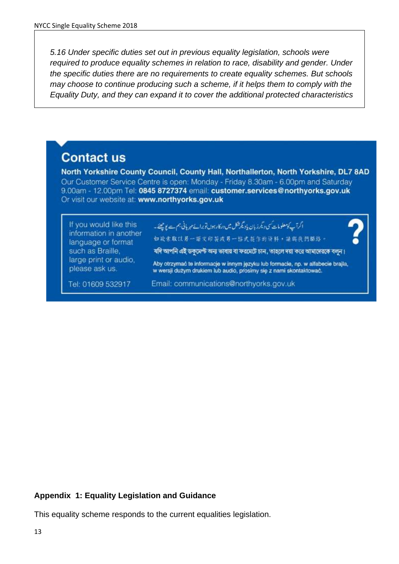*5.16 Under specific duties set out in previous equality legislation, schools were required to produce equality schemes in relation to race, disability and gender. Under the specific duties there are no requirements to create equality schemes. But schools may choose to continue producing such a scheme, if it helps them to comply with the Equality Duty, and they can expand it to cover the additional protected characteristics*

## **Contact us**

North Yorkshire County Council, County Hall, Northallerton, North Yorkshire, DL7 8AD Our Customer Service Centre is open: Monday - Friday 8.30am - 6.00pm and Saturday 9.00am - 12.00pm Tel: 0845 8727374 email: customer.services@northyorks.gov.uk Or visit our website at: www.northyorks.gov.uk

| If you would like this<br>information in another<br>language or format | ا اگرآپ کومعلومات کی دیگر زبان پادیگر شک میں درکار ہول تو برائے میریانی ہم ہے پولینے۔<br>如做索取以另一語文印製或另一部式提作的資料,請與我們聯絡。                                |
|------------------------------------------------------------------------|-------------------------------------------------------------------------------------------------------------------------------------------------------|
| such as Braille.<br>large print or audio,                              | যদি আপনি এই ডকুমেণ্ট অন্য ভাষায় বা ফরমেটে চান, তাহলে দয়া করে আমাদেরকে বলুন।                                                                         |
| please ask us.                                                         | Aby otrzymać te informacje w innym języku lub formacie, np. w alfabecie brajla,<br>w wersji dużym drukiem lub audio, prosimy się z nami skontaktować. |
| Tel: 01609 532917                                                      | Email: communications@northyorks.gov.uk                                                                                                               |

#### **Appendix 1: Equality Legislation and Guidance**

This equality scheme responds to the current equalities legislation.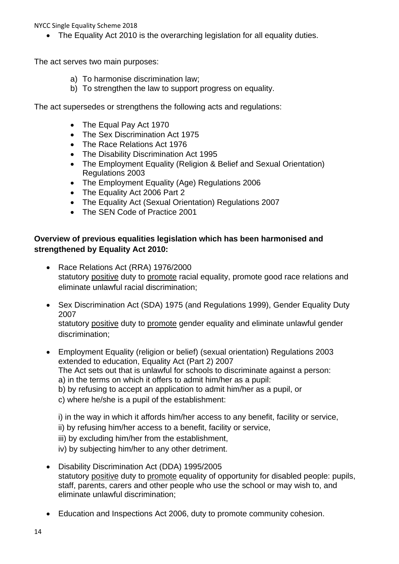The Equality Act 2010 is the overarching legislation for all equality duties.

The act serves two main purposes:

- a) To harmonise discrimination law;
- b) To strengthen the law to support progress on equality.

The act supersedes or strengthens the following acts and regulations:

- The Equal Pay Act 1970
- The Sex Discrimination Act 1975
- The Race Relations Act 1976
- The Disability Discrimination Act 1995
- The Employment Equality (Religion & Belief and Sexual Orientation) Regulations 2003
- The Employment Equality (Age) Regulations 2006
- The Equality Act 2006 Part 2
- The Equality Act (Sexual Orientation) Regulations 2007
- The SEN Code of Practice 2001

#### **Overview of previous equalities legislation which has been harmonised and strengthened by Equality Act 2010:**

- Race Relations Act (RRA) 1976/2000 statutory positive duty to promote racial equality, promote good race relations and eliminate unlawful racial discrimination;
- Sex Discrimination Act (SDA) 1975 (and Regulations 1999), Gender Equality Duty 2007 statutory positive duty to promote gender equality and eliminate unlawful gender discrimination;
- Employment Equality (religion or belief) (sexual orientation) Regulations 2003 extended to education, Equality Act (Part 2) 2007 The Act sets out that is unlawful for schools to discriminate against a person: a) in the terms on which it offers to admit him/her as a pupil: b) by refusing to accept an application to admit him/her as a pupil, or c) where he/she is a pupil of the establishment:
	-
	- i) in the way in which it affords him/her access to any benefit, facility or service,
	- ii) by refusing him/her access to a benefit, facility or service,
	- iii) by excluding him/her from the establishment,
	- iv) by subjecting him/her to any other detriment.
- Disability Discrimination Act (DDA) 1995/2005 statutory positive duty to promote equality of opportunity for disabled people: pupils, staff, parents, carers and other people who use the school or may wish to, and eliminate unlawful discrimination;
- Education and Inspections Act 2006, duty to promote community cohesion.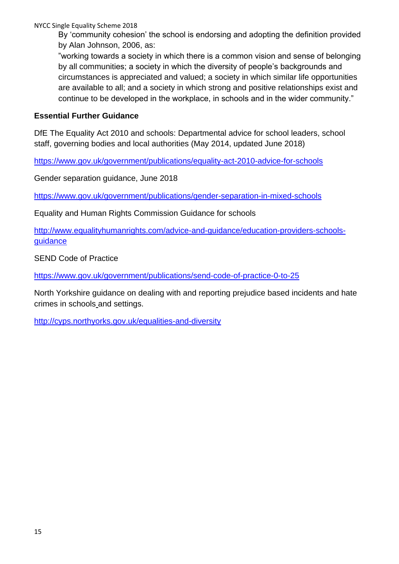By 'community cohesion' the school is endorsing and adopting the definition provided by Alan Johnson, 2006, as:

"working towards a society in which there is a common vision and sense of belonging by all communities; a society in which the diversity of people's backgrounds and circumstances is appreciated and valued; a society in which similar life opportunities are available to all; and a society in which strong and positive relationships exist and continue to be developed in the workplace, in schools and in the wider community."

#### **Essential Further Guidance**

DfE The Equality Act 2010 and schools: Departmental advice for school leaders, school staff, governing bodies and local authorities (May 2014, updated June 2018)

<https://www.gov.uk/government/publications/equality-act-2010-advice-for-schools>

Gender separation guidance, June 2018

<https://www.gov.uk/government/publications/gender-separation-in-mixed-schools>

Equality and Human Rights Commission Guidance for schools

[http://www.equalityhumanrights.com/advice-and-guidance/education-providers-schools](http://www.equalityhumanrights.com/advice-and-guidance/education-providers-schools-guidance)[guidance](http://www.equalityhumanrights.com/advice-and-guidance/education-providers-schools-guidance)

SEND Code of Practice

https://www.gov.uk/government/publications/send-code-of-practice-0-to-25

North Yorkshire guidance on dealing with and reporting prejudice based incidents and hate crimes in schools and settings.

<http://cyps.northyorks.gov.uk/equalities-and-diversity>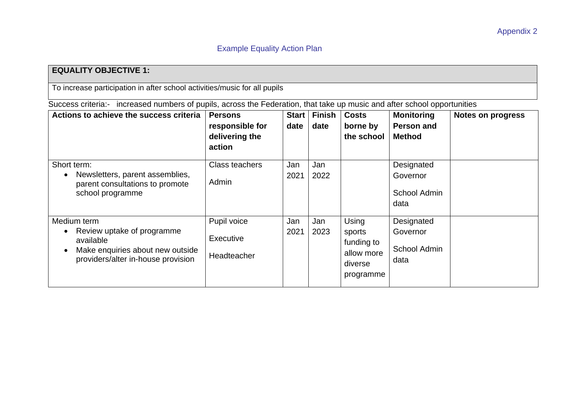#### **EQUALITY OBJECTIVE 1:**

To increase participation in after school activities/music for all pupils

Success criteria:- increased numbers of pupils, across the Federation, that take up music and after school opportunities

| Actions to achieve the success criteria                                                                                                                    | <b>Persons</b><br>responsible for<br>delivering the<br>action | <b>Start</b><br>date | <b>Finish</b><br>date | <b>Costs</b><br>borne by<br>the school                              | <b>Monitoring</b><br><b>Person and</b><br><b>Method</b> | <b>Notes on progress</b> |
|------------------------------------------------------------------------------------------------------------------------------------------------------------|---------------------------------------------------------------|----------------------|-----------------------|---------------------------------------------------------------------|---------------------------------------------------------|--------------------------|
| Short term:<br>Newsletters, parent assemblies,<br>$\bullet$<br>parent consultations to promote<br>school programme                                         | <b>Class teachers</b><br>Admin                                | Jan<br>2021          | Jan<br>2022           |                                                                     | Designated<br>Governor<br>School Admin<br>data          |                          |
| Medium term<br>Review uptake of programme<br>$\bullet$<br>available<br>Make enquiries about new outside<br>$\bullet$<br>providers/alter in-house provision | Pupil voice<br>Executive<br>Headteacher                       | Jan<br>2021          | Jan<br>2023           | Using<br>sports<br>funding to<br>allow more<br>diverse<br>programme | Designated<br>Governor<br>School Admin<br>data          |                          |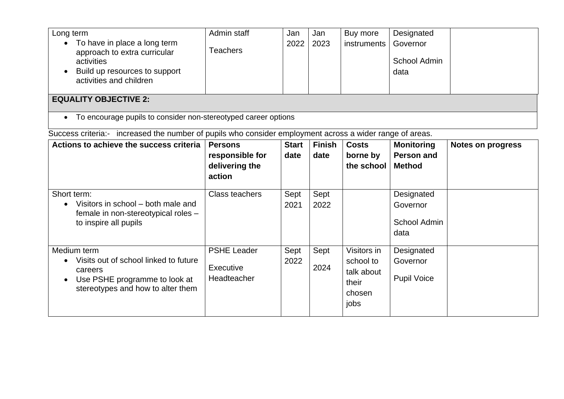| Long term<br>• To have in place a long term<br>approach to extra curricular<br>activities<br>Build up resources to support<br>activities and children | Admin staff<br>Teachers | Jan<br>2022 | Jan<br>2023 | Buy more<br>instruments | Designated<br>Governor<br>School Admin<br>data |  |  |
|-------------------------------------------------------------------------------------------------------------------------------------------------------|-------------------------|-------------|-------------|-------------------------|------------------------------------------------|--|--|
| <b>EQUALITY OBJECTIVE 2:</b>                                                                                                                          |                         |             |             |                         |                                                |  |  |
| To encourage pupils to consider non-stereotyped career options<br>$\bullet$                                                                           |                         |             |             |                         |                                                |  |  |

Success criteria:- increased the number of pupils who consider employment across a wider range of areas.

| Actions to achieve the success criteria                                                                                               | <b>Persons</b><br>responsible for<br>delivering the<br>action | <b>Start</b><br>date | <b>Finish</b><br>date | <b>Costs</b><br>borne by<br>the school                            | <b>Monitoring</b><br>Person and<br><b>Method</b> | <b>Notes on progress</b> |
|---------------------------------------------------------------------------------------------------------------------------------------|---------------------------------------------------------------|----------------------|-----------------------|-------------------------------------------------------------------|--------------------------------------------------|--------------------------|
| Short term:<br>Visitors in school – both male and<br>female in non-stereotypical roles -<br>to inspire all pupils                     | Class teachers                                                | Sept<br>2021         | Sept<br>2022          |                                                                   | Designated<br>Governor<br>School Admin<br>data   |                          |
| Medium term<br>Visits out of school linked to future<br>careers<br>Use PSHE programme to look at<br>stereotypes and how to alter them | <b>PSHE Leader</b><br>Executive<br>Headteacher                | Sept<br>2022         | Sept<br>2024          | Visitors in<br>school to<br>talk about<br>their<br>chosen<br>jobs | Designated<br>Governor<br><b>Pupil Voice</b>     |                          |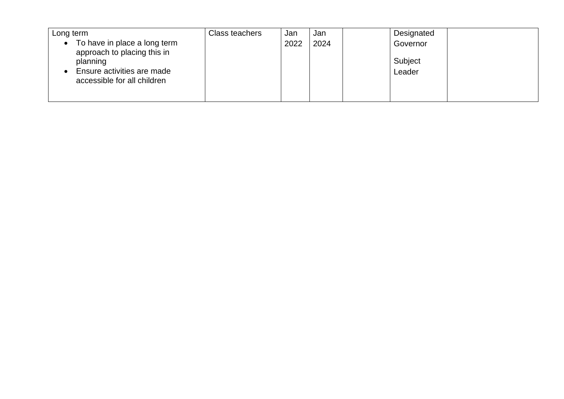| Long term                                                                                                                                         | Class teachers | Jan  | Jan  | Designated                    |  |
|---------------------------------------------------------------------------------------------------------------------------------------------------|----------------|------|------|-------------------------------|--|
| To have in place a long term<br>$\bullet$<br>approach to placing this in<br>planning<br>Ensure activities are made<br>accessible for all children |                | 2022 | 2024 | Governor<br>Subject<br>Leader |  |